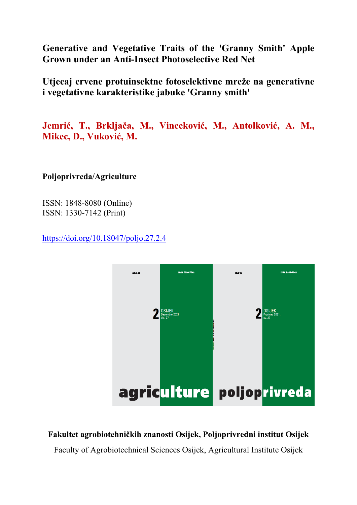**Generative and Vegetative Traits of the 'Granny Smith' Apple Grown under an Anti-Insect Photoselective Red Net** 

**Utjecaj crvene protuinsektne fotoselektivne mreže na generativne i vegetativne karakteristike jabuke 'Granny smith'** 

**Jemrić, T., Brkljača, M., Vinceković, M., Antolković, A. M., Mikec, D., Vuković, M.**

**Poljoprivreda/Agriculture** 

ISSN: 1848-8080 (Online) ISSN: 1330-7142 (Print)

https://doi.org/10.18047/poljo.27.2.4



## **Fakultet agrobiotehničkih znanosti Osijek, Poljoprivredni institut Osijek**

Faculty of Agrobiotechnical Sciences Osijek, Agricultural Institute Osijek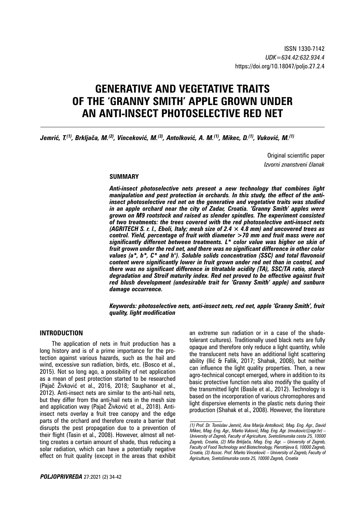# **GENERATIVE AND VEGETATIVE TRAITS OF THE 'GRANNY SMITH' APPLE GROWN UNDER AN ANTI-INSECT PHOTOSELECTIVE RED NET**

*Jemrić, T.(1), Brkljača, M.(2), Vinceković, M.(3), Antolković, A. M.(1), Mikec, D.(1), Vuković, M.(1)*

Original scientific paper *Izvorni znanstveni članak*

#### **SUMMARY**

*Anti-insect photoselective nets present a new technology that combines light manipulation and pest protection in orchards. In this study, the effect of the antiinsect photoselective red net on the generative and vegetative traits was studied in an apple orchard near the city of Zadar, Croatia. 'Granny Smith' apples were grown on M9 rootstock and raised as slender spindles. The experiment consisted of two treatments: the trees covered with the red photoselective anti-insect nets (AGRITECH S. r. l., Eboli, Italy; mesh size of 2.4 × 4.8 mm) and uncovered trees as control. Yield, percentage of fruit with diameter >70 mm and fruit mass were not significantly different between treatments. L\* color value was higher on skin of fruit grown under the red net, and there was no significant difference in other color values (a\*, b\*, C\* and h°). Soluble solids concentration (SSC) and total flavonoid content were significantly lower in fruit grown under red net than in control, and there was no significant difference in titratable acidity (TA), SSC/TA ratio, starch degradation and Streif maturity index. Red net proved to be effective against fruit red blush development (undesirable trait for 'Granny Smith' apple) and sunburn damage occurrence.*

*Keywords: photoselective nets, anti-insect nets, red net, apple 'Granny Smith', fruit quality, light modification*

#### **INTRODUCTION**

The application of nets in fruit production has a long history and is of a prime importance for the protection against various hazards, such as the hail and wind, excessive sun radiation, birds, etc. (Bosco et al., 2015). Not so long ago, a possibility of net application as a mean of pest protection started to be researched (Pajač Živković et al., 2016, 2018; Sauphanor et al., 2012). Anti-insect nets are similar to the anti-hail nets, but they differ from the anti-hail nets in the mesh size and application way (Pajač Živković et al., 2018). Antiinsect nets overlay a fruit tree canopy and the edge parts of the orchard and therefore create a barrier that disrupts the pest propagation due to a prevention of their flight (Tasin et al., 2008). However, almost all netting creates a certain amount of shade, thus reducing a solar radiation, which can have a potentially negative effect on fruit quality (except in the areas that exhibit

an extreme sun radiation or in a case of the shadetolerant cultures). Traditionally used black nets are fully opaque and therefore only reduce a light quantity, while the translucent nets have an additional light scattering ability (Ilić & Fallik, 2017; Shahak, 2008), but neither can influence the light quality properties. Then, a new agro-technical concept emerged, where in addition to its basic protective function nets also modify the quality of the transmitted light (Basile et al., 2012). Technology is based on the incorporation of various chromophores and light dispersive elements in the plastic nets during their production (Shahak et al., 2008). However, the literature

*<sup>(1)</sup> Prof. Dr. Tomislav Jemrić, Ana Marija Antolković, Mag. Eng. Agr., David Mikec, Mag. Eng. Agr., Marko Vuković, Mag. Eng. Agr. (mvukovic@agr.hr) – University of Zagreb, Faculty of Agriculture, Svetošimunska cesta 25, 10000 Zagreb, Croatia, (2) Mia Brkljača, Mag. Eng. Agr. – University of Zagreb, Faculty of Food Technology and Biotechnology, Pierottijeva 6, 10000 Zagreb, Croatia, (3) Assoc. Prof. Marko Vinceković – University of Zagreb, Faculty of Agriculture, Svetošimunska cesta 25, 10000 Zagreb, Croatia*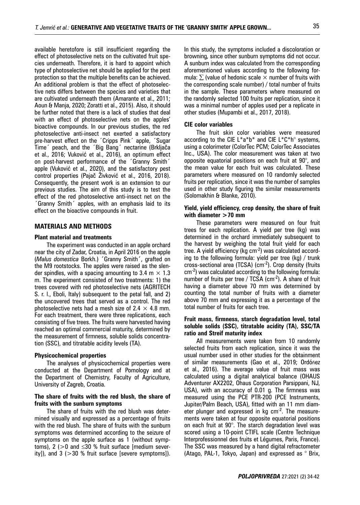available heretofore is still insufficient regarding the effect of photoselective nets on the cultivated fruit species underneath. Therefore, it is hard to appoint which type of photoselective net should be applied for the pest protection so that the multiple benefits can be achieved. An additional problem is that the effect of photoselective nets differs between the species and varieties that are cultivated underneath them (Amarante et al., 2011; Aoun & Manja, 2020; Zoratti et al., 2015). Also, it should be further noted that there is a lack of studies that deal with an effect of photoselective nets on the apples' bioactive compounds. In our previous studies, the red photoselective anti-insect net exerted a satisfactory pre-harvest effect on the ´Cripps Pink´ apple, ´Sugar Time´ peach, and the ´Big Bang´ nectarine (Brkljača et al., 2016; Vuković et al., 2016), an optimum effect on post-harvest performance of the 'Granny Smith' apple (Vuković et al., 2020), and the satisfactory pest control properties (Pajač Živković et al., 2016, 2018). Consequently, the present work is an extension to our previous studies. The aim of this study is to test the effect of the red photoselective anti-insect net on the ´Granny Smith´ apples, with an emphasis laid to its effect on the bioactive compounds in fruit.

#### **MATERIALS AND METHODS**

#### **Plant material and treatments**

The experiment was conducted in an apple orchard near the city of Zadar, Croatia, in April 2016 on the apple (*Malus domestica* Borkh.) **´**Granny Smith**´**, grafted on the M9 rootstocks. The apples were raised as the slender spindles, with a spacing amounting to 3.4 m  $\times$  1.3 m. The experiment consisted of two treatments: 1) the trees covered with red photoselective nets (AGRITECH S. r. l., Eboli, Italy) subsequent to the petal fall, and 2) the uncovered trees that served as a control. The red photoselective nets had a mesh size of 2.4  $\times$  4.8 mm. For each treatment, there were three replications, each consisting of five trees. The fruits were harvested having reached an optimal commercial maturity, determined by the measurement of firmness, soluble solids concentration (SSC), and titratable acidity levels (TA).

#### **Physicochemical properties**

The analyses of physicochemical properties were conducted at the Department of Pomology and at the Department of Chemistry, Faculty of Agriculture, University of Zagreb, Croatia.

#### **The share of fruits with the red blush, the share of fruits with the sunburn symptoms**

The share of fruits with the red blush was determined visually and expressed as a percentage of fruits with the red blush. The share of fruits with the sunburn symptoms was determined according to the seizure of symptoms on the apple surface as 1 (without symptoms), 2 ( $>0$  and  $\leq 30$  % fruit surface [medium severity]), and  $3$  ( $>30$  % fruit surface [severe symptoms]).

In this study, the symptoms included a discoloration or browning, since other sunburn symptoms did not occur. A sunburn index was calculated from the corresponding aforementioned values according to the following formula:  $\Sigma$  (value of hedonic scale  $\times$  number of fruits with the corresponding scale number) / total number of fruits in the sample. These parameters where measured on the randomly selected 100 fruits per replication, since it was a minimal number of apples used per a replicate in other studies (Mupambi et al., 2017, 2018).

#### **CIE color variables**

The fruit skin color variables were measured according to the CIE  $L^*a^*b^*$  and CIE  $L^*C^*h^{\circ}$  systems, using a colorimeter (ColorTec PCM; ColorTec Associates Inc., USA). The color measurement was taken at two opposite equatorial positions on each fruit at 90°, and the mean value for each fruit was calculated. These parameters where measured on 10 randomly selected fruits per replication, since it was the number of samples used in other study figuring the similar measurements (Solomakhin & Blanke, 2010).

#### **Yield, yield efficiency, crop density, the share of fruit with diameter >70 mm**

These parameters were measured on four fruit trees for each replication. A yield per tree (kg) was determined in the orchard immediately subsequent to the harvest by weighing the total fruit yield for each tree. A yield efficiency ( $kg \, \text{cm}^{-2}$ ) was calculated according to the following formula: yield per tree (kg) / trunk cross-sectional area (TCSA) ( $cm<sup>-2</sup>$ ). Crop density (fruits cm-2) was calculated according to the following formula: number of fruits per tree / TCSA (cm<sup>-2</sup>). A share of fruit having a diameter above 70 mm was determined by counting the total number of fruits with a diameter above 70 mm and expressing it as a percentage of the total number of fruits for each tree.

#### **Fruit mass, firmness, starch degradation level, total soluble solids (SSC), titratable acidity (TA), SSC/TA ratio and Streif maturity index**

All measurements were taken from 10 randomly selected fruits from each replication, since it was the usual number used in other studies for the obtainment of similar measurements (Gao et al., 2019; Ordóñez et al., 2016). The average value of fruit mass was calculated using a digital analytical balance (OHAUS Adventurer AX2202, Ohaus Corporation Parsippani, NJ, USA), with an accuracy of 0.01 g. The firmness was measured using the PCE PTR-200 (PCE Instruments, Jupiter/Palm Beach, USA), fitted with an 11 mm diameter plunger and expressed in  $kg \, cm^{-2}$ . The measurements were taken at four opposite equatorial positions on each fruit at 90°. The starch degradation level was scored using a 10-point CTIFL scale (Centre Technique Interprofessionnel des fruits et Légumes, Paris, France). The SSC was measured by a hand digital refractometer (Atago, PAL-1, Tokyo, Japan) and expressed as ° Brix,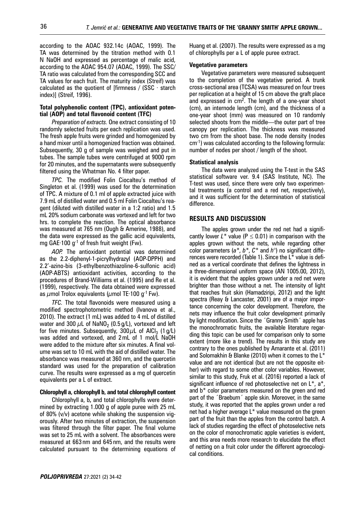according to the AOAC 932.14c (AOAC, 1999). The TA was determined by the titration method with 0.1 N NaOH and expressed as percentage of malic acid, according to the AOAC 954.07 (AOAC, 1999). The SSC/ TA ratio was calculated from the corresponding SCC and TA values for each fruit. The maturity index (Streif) was calculated as the quotient of [firmness /  $(SSC - starch$ index)] (Streif, 1996).

#### **Total polyphenolic content (TPC), antioxidant potential (AOP) and total flavonoid content (TFC)**

*Preparation of extracts.* One extract consisting of 10 randomly selected fruits per each replication was used. The fresh apple fruits were grinded and homogenized by a hand mixer until a homogenized fraction was obtained. Subsequently, 30 g of sample was weighed and put in tubes. The sample tubes were centrifuged at 9000 rpm for 20 minutes, and the supernatants were subsequently filtered using the Whatman No. 4 filter paper.

*TPC.* The modified Folin Ciocalteu's method of Singleton et al. (1999) was used for the determination of TPC. A mixture of 0.1 ml of apple extracted juice with 7.9 mL of distilled water and 0.5 ml Folin Ciocalteu's reagent (diluted with distilled water in a 1:2 ratio) and 1.5 mL 20% sodium carbonate was vortexed and left for two hrs. to complete the reaction. The optical absorbance was measured at 765 nm (Ough & Amerine, 1988), and the data were expressed as the gallic acid equivalents, mg GAE $\cdot$ 100 g<sup>-1</sup> of fresh fruit weight (Fw).

*AOP.* The antioxidant potential was determined as the 2.2-diphenyl-1-picrylhydrazyl (AOP-DPPH) and 2.2'-azino-bis (3-ethylbenzothiazoline-6-sulfonic acid) (AOP-ABTS) antioxidant activities, according to the procedures of Brand-Williams et al. (1995) and Re et al. (1999), respectively. The data obtained were expressed as  $\mu$ mol Trolox equivalents ( $\mu$ mol TE·100 g<sup>-1</sup> Fw).

*TFC.* The total flavonoids were measured using a modified spectrophotometric method (Ivanova et al., 2010). The extract (1 mL) was added to 4 mL of distilled water and 300  $\mu$ L of NaNO<sub>2</sub> (0.5 g/L), vortexed and left for five minutes. Subsequently,  $300 \mu L$  of AlCl<sub>3</sub> (1 g/L) was added and vortexed, and 2 mL of 1 mol/L NaOH were added to the mixture after six minutes. A final volume was set to 10 mL with the aid of distilled water. The absorbance was measured at 360 nm, and the quercetin standard was used for the preparation of calibration curve. The results were expressed as a mg of quercetin equivalents per a L of extract.

#### **Chlorophyll a, chlorophyll b, and total chlorophyll content**

Chlorophyll a, b**,** and total chlorophylls were determined by extracting 1.000 g of apple puree with 25 mL of 80% (v/v) acetone while shaking the suspension vigorously. After two minutes of extraction, the suspension was filtered through the filter paper. The final volume was set to 25 mL with a solvent. The absorbances were measured at 663 nm and 645 nm, and the results were calculated pursuant to the determining equations of Huang et al. (2007). The results were expressed as a mg of chlorophylls per a L of apple puree extract.

#### **Vegetative parameters**

Vegetative parameters were measured subsequent to the completion of the vegetative period. A trunk cross-sectional area (TCSA) was measured on four trees per replication at a height of 15 cm above the graft place and expressed in  $cm^2$ . The length of a one-year shoot (cm), an internode length (cm), and the thickness of a one-year shoot (mm) was measured on 10 randomly selected shoots from the middle—the outer part of tree canopy per replication. The thickness was measured two cm from the shoot base. The node density (nodes cm-1) was calculated according to the following formula: number of nodes per shoot / length of the shoot.

#### **Statistical analysis**

The data were analyzed using the T-test in the SAS statistical software ver. 9.4 (SAS Institute, NC). The T-test was used, since there were only two experimental treatments (a control and a red net, respectively), and it was sufficient for the determination of statistical difference.

#### **RESULTS AND DISCUSSION**

The apples grown under the red net had a significantly lower  $L^*$  value ( $P \le 0.01$ ) in comparison with the apples grown without the nets, while regarding other color parameters (*a\**, *b\**, *C\** and *h°*) no significant differences were recorded (Table 1). Since the L\* value is defined as a vertical coordinate that defines the lightness in a three-dimensional uniform space (AN 1005.00, 2012), it is evident that the apples grown under a red net were brighter than those without a net. The intensity of light that reaches fruit skin (Hamadziripi, 2012) and the light spectra (Reay & Lancaster, 2001) are of a major importance concerning the color development. Therefore, the nets may influence the fruit color development primarily by light modification. Since the 'Granny Smith' apple has the monochromatic fruits, the available literature regarding this topic can be used for comparison only to some extent (more like a trend). The results in this study are contrary to the ones published by Amarante et al. (2011) and Solomakhin & Blanke (2010) when it comes to the L\* value and are not identical (but are not the opposite either) with regard to some other color variables. However, similar to this study, Fruk et al. (2016) reported a lack of significant influence of red photoselective net on L\*, a\*, and b\* color parameters measured on the green and red part of the 'Braeburn' apple skin. Moreover, in the same study, it was reported that the apples grown under a red net had a higher average L\* value measured on the green part of the fruit than the apples from the control batch. A lack of studies regarding the effect of photoselective nets on the color of monochromatic apple varieties is evident, and this area needs more research to elucidate the effect of netting on a fruit color under the different agroecological conditions.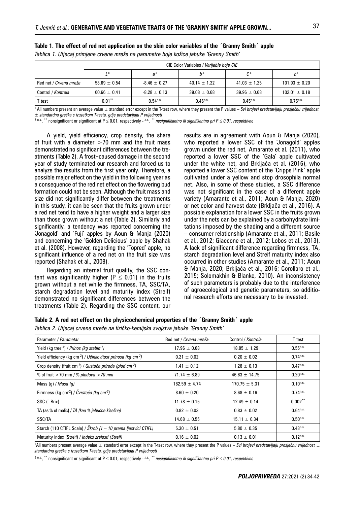|                        | CIE Color Variables / Varijable boje CIE |                        |                  |                  |                        |
|------------------------|------------------------------------------|------------------------|------------------|------------------|------------------------|
|                        | $1*$                                     | $a^*$                  | b*               | $c^*$            | $h^{\circ}$            |
| Red net / Crvena mreža | $58.69 \pm 0.54$                         | $-8.46 \pm 0.27$       | $40.14 \pm 1.22$ | $41.03 \pm 1.25$ | $101.93 \pm 0.20$      |
| Control / Kontrola     | $60.66 \pm 0.41$                         | $-8.28 \pm 0.13$       | $39.08 \pm 0.68$ | $39.96 \pm 0.68$ | $102.01 \pm 0.18$      |
| r test                 | $0.01***$                                | $0.54$ <sup>n.s.</sup> | $0.46^{n.s.}$    | $0.45^{n.s.}$    | $0.75$ <sup>n.s.</sup> |

**Table 1. The effect of red net application on the skin color variables of the ´Granny Smith´ apple** 

*Tablica 1. Utjecaj primjene crvene mreže na parametre boje kožice jabuke 'Granny Smith'*

1 All numbers present an average value ± standard error except in the T-test row, where they present the P values – *Svi brojevi predstavljaju prosječnu vrijednost ± standardna greška s izuzetkom T-testa, gdje predstavljaju P vrijednosti*

<sup>2 n.s.</sup>, <sup>\*\*</sup> nonsignificant or significant at P ≤ 0.01, respectively - <sup>n.s.</sup>, <sup>\*\*</sup> nesignifikantno ili signifikantno pri P ≤ 0.01, respektivno

A yield, yield efficiency, crop density, the share of fruit with a diameter  $>70$  mm and the fruit mass demonstrated no significant differences between the treatments (Table 2). A frost-caused damage in the second year of study terminated our research and forced us to analyze the results from the first year only. Therefore, a possible major effect on the yield in the following year as a consequence of the red net effect on the flowering bud formation could not be seen. Although the fruit mass and size did not significantly differ between the treatments in this study, it can be seen that the fruits grown under a red net tend to have a higher weight and a larger size than those grown without a net (Table 2). Similarly and significantly, a tendency was reported concerning the 'Jonagold' and 'Fuji' apples by Aoun & Manja (2020) and concerning the 'Golden Delicious' apple by Shahak et al. (2008). However, regarding the 'Topred' apple, no significant influence of a red net on the fruit size was reported (Shahak et al., 2008).

Regarding an internal fruit quality, the SSC content was significantly higher ( $P \le 0.01$ ) in the fruits grown without a net while the firmness, TA, SSC/TA, starch degradation level and maturity index (Streif) demonstrated no significant differences between the treatments (Table 2). Regarding the SSC content, our

results are in agreement with Aoun & Manja (2020), who reported a lower SSC of the 'Jonagold' apples grown under the red net, Amarante et al. (2011), who reported a lower SSC of the 'Gala' apple cultivated under the white net, and Brkljača et al. (2016), who reported a lower SSC content of the 'Cripps Pink' apple cultivated under a yellow and stop drosophila normal net. Also, in some of these studies, a SSC difference was not significant in the case of a different apple variety (Amarante et al., 2011; Aoun & Manja, 2020) or net color and harvest date (Brkljača et al., 2016). A possible explanation for a lower SSC in the fruits grown under the nets can be explained by a carbohydrate limitations imposed by the shading and a different source – consumer relationship (Amarante et al., 2011; Basile et al., 2012; Giaccone et al., 2012; Lobos et al., 2013). A lack of significant difference regarding firmness, TA, starch degradation level and Streif maturity index also occurred in other studies (Amarante et al., 2011; Aoun & Manja, 2020; Brkljača et al., 2016; Corollaro et al., 2015; Solomakhin & Blanke, 2010). An inconsistency of such parameters is probably due to the interference of agroecological and genetic parameters, so additional research efforts are necessary to be invested.

#### **Table 2. A red net effect on the physicochemical properties of the ´Granny Smith´ apple**

*Tablica 2. Utjecaj crvene mreže na fizičko-kemijska svojstva jabuke 'Granny Smith'*

| Parameter / Parametar                                                             | Red net / Crvena mreža | Control / Kontrola | T test                 |
|-----------------------------------------------------------------------------------|------------------------|--------------------|------------------------|
| Yield (kg tree <sup>-1</sup> ) / Prinos (kg stablo <sup>-1</sup> )                | $17.96 \pm 0.68$       | $18.85 \pm 1.29$   | $0.55^{n.s.}$          |
| Yield efficiency (kg cm-2) / Učinkovitost prinosa (kg cm-2)                       | $0.21 \pm 0.02$        | $0.20 \pm 0.02$    | $0.74$ <sup>n.s.</sup> |
| Crop density (fruit cm <sup>-2</sup> ) / Gustoća priroda (plod cm <sup>-2</sup> ) | $1.41 \pm 0.12$        | $1.28 \pm 0.13$    | $0.47^{n.s.}$          |
| % of fruit $>$ 70 mm / % plodova $>$ 70 mm                                        | $71.74 \pm 6.89$       | $46.63 \pm 14.75$  | $0.20$ <sup>n.s.</sup> |
| Mass (g) / <i>Masa (g)</i>                                                        | $182.59 \pm 4.74$      | $170.75 \pm 5.31$  | $0.10^{n.s.}$          |
| Firmness (kg cm <sup>-2</sup> ) / Čvrstoća (kg cm <sup>-2</sup> )                 | $8.60 \pm 0.20$        | $8.68 \pm 0.16$    | $0.74$ <sup>n.s.</sup> |
| SSC (° Brix)                                                                      | $11.78 \pm 0.15$       | $12.49 \pm 0.14$   | $0.002***$             |
| TA (as % of malic) / TA (kao % jabučne kiseline)                                  | $0.82 \pm 0.03$        | $0.83 \pm 0.02$    | $0.64^{n.s.}$          |
| SSC/TA                                                                            | $14.68 \pm 0.55$       | $15.11 \pm 0.34$   | $0.50$ <sup>n.s.</sup> |
| Starch (110 CTIFL Scale) / Škrob (1 - 10 prema ljestvici CTIFL)                   | $5.30 \pm 0.51$        | $5.80 \pm 0.35$    | $0.43^{n.s.}$          |
| Maturity index (Streif) / Indeks zrelosti (Streif)                                | $0.16 \pm 0.02$        | $0.13 \pm 0.01$    | $0.12^{n.s.}$          |

1 All numbers present average value ± standard error except in the T-test row, where they present the P values – *Svi brojevi predstavljaju prosječnu vrijednost ± standardna greška s izuzetkom T-testa, gdje predstavljaju P vrijednosti*

<sup>2 n.s.</sup>, <sup>\*\*</sup> nonsignificant or significant at P ≤ 0.01, respectively - <sup>n.s.</sup>, <sup>\*\*</sup> nesignifikantno ili signifikantno pri P ≤ 0.01, respektivno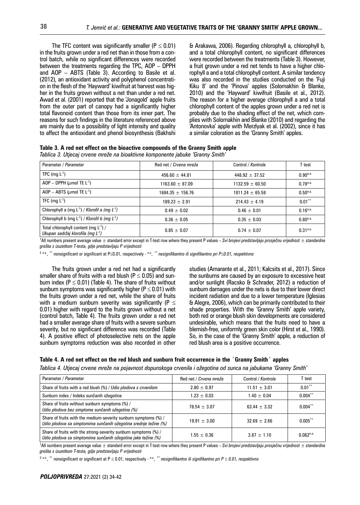The TFC content was significantly smaller ( $P \le 0.01$ ) in the fruits grown under a red net than in those from a control batch, while no significant differences were recorded between the treatments regarding the TPC, AOP – DPPH and AOP – ABTS (Table 3). According to Basile et al. (2012), an antioxidant activity and polyphenol concentration in the flesh of the 'Hayward' kiwifruit at harvest was higher in the fruits grown without a net than under a red net. Awad et al. (2001) reported that the 'Jonagold' apple fruits from the outer part of canopy had a significantly higher total flavonoid content than those from its inner part. The reasons for such findings in the literature referenced above are mainly due to a possibility of light intensity and quality to affect the antioxidant and phenol biosynthesis (Bakhshi & Arakawa, 2006). Regarding chlorophyll a, chlorophyll b, and a total chlorophyll content, no significant differences were recorded between the treatments (Table 3). However, a fruit grown under a red net tends to have a higher chlorophyll a and a total chlorophyll content. A similar tendency was also recorded in the studies conducted on the 'Fuji Kiku 8' and the 'Pinova' apples (Solomakhin & Blanke, 2010) and the 'Hayward' kiwifruit (Basile et al., 2012). The reason for a higher average chlorophyll a and a total chlorophyll content of the apples grown under a red net is probably due to the shading effect of the net, which complies with Solomakhin and Blanke (2010) and regarding the 'Antonovka' apple with Merzlyak et al. (2002), since it has a similar coloration as the 'Granny Smith' apples.

| Table 3. A red net effect on the bioactive compounds of the Granny Smith apple |  |
|--------------------------------------------------------------------------------|--|
| Tablica 3. Utjecaj crvene mreže na bioaktivne komponente jabuke 'Granny Smith' |  |

| Parameter / Parametar                                                                 | Red net / Crvena mreža | Control / Kontrola  | T test                 |
|---------------------------------------------------------------------------------------|------------------------|---------------------|------------------------|
| TPC (mg $L^{-1}$ )                                                                    | $456.60 \pm 44.81$     | $448.92 \pm 37.52$  | $0.90^{n.s.}$          |
| AOP - DPPH ( $\mu$ mol TE L <sup>-1</sup> )                                           | $1163.60 \pm 87.09$    | $1132.59 \pm 60.50$ | $0.78^{n.s.}$          |
| AOP - ABTS ( $\mu$ mol TE L <sup>-1</sup> )                                           | $1684.35 \pm 156.76$   | $1811.24 \pm 65.58$ | $0.50$ <sup>n.s.</sup> |
| TFC (mg $L^{-1}$ )                                                                    | $189.23 \pm 2.91$      | $214.43 \pm 4.19$   | $0.01***$              |
| Chlorophyll a (mg $L^{-1}$ ) / Klorofil a (mg $L^{-1}$ )                              | $0.49 + 0.02$          | $0.46 \pm 0.01$     | $0.16^{n.s.}$          |
| Chlorophyll b (mg $L^{-1}$ ) / Klorofil b (mg $L^{-1}$ )                              | $0.36 \pm 0.05$        | $0.35 \pm 0.03$     | $0.80^{n.s.}$          |
| Total chlorophyll content (mg $L^{-1}$ ) /<br>Ukupan sadržaj klorofila (mg $L^{-1}$ ) | $0.85 \pm 0.07$        | $0.74 \pm 0.07$     | 0.31 <sup>n.s.</sup>   |

1 All numbers present average value ± standard error except in T-test row where they present P values – *Svi brojevi predstavljaju prosječnu vrijednost ± standardna greška s izuzetkom T-testa, gdje predstavljaju P vrijednosti*

<sup>2 n.s.</sup>, <sup>\*\*</sup> nonsignificant or significant at P≤0.01, respectively - <sup>n.s.</sup>, <sup>\*\*</sup> nesignifikantno ili signifikantno pri P≤0.01, respektivno

The fruits grown under a red net had a significantly smaller share of fruits with a red blush ( $P \le 0.05$ ) and sunburn index ( $P \le 0.01$ ) (Table 4). The share of fruits without sunburn symptoms was significantly higher ( $P \le 0.01$ ) with the fruits grown under a red net, while the share of fruits with a medium sunburn severity was significantly ( $P \leq$ 0.01) higher with regard to the fruits grown without a net (control batch, Table 4). The fruits grown under a red net had a smaller average share of fruits with a severe sunburn severity, but no significant difference was recorded (Table 4). A positive effect of photoselective nets on the apple sunburn symptoms reduction was also recorded in other studies (Amarante et al., 2011; Kalcsits et al., 2017). Since the sunburns are caused by an exposure to excessive heat and/or sunlight (Racsko & Schrader, 2012) a reduction of sunburn damages under the nets is due to their lower direct incident radiation and due to a lower temperature (Iglesias & Alegre, 2006), which can be primarily contributed to their shade properties. With the 'Granny Smith' apple variety, both red or orange blush skin developments are considered undesirable, which means that the fruits need to have a blemish-free, uniformly green skin color (Hirst et al., 1990). So, in the case of the 'Granny Smith' apple, a reduction of red blush area is a positive occurrence.

#### **Table 4. A red net effect on the red blush and sunburn fruit occurrence in the ´Granny Smith´ apples**

*Tablica 4. Utjecaj crvene mreže na pojavnost dopunskoga crvenila i ožegotina od sunca na jabukama 'Granny Smith'*

| Parameter / Parametar                                                                                                               | Red net / Crvena mreža | Control / Kontrola | T test         |
|-------------------------------------------------------------------------------------------------------------------------------------|------------------------|--------------------|----------------|
| Share of fruits with a red blush (%) / Udio plodova s crvenilom                                                                     | $2.80 \pm 0.97$        | $11.51 \pm 3.01$   | $0.01***$      |
| Sunburn index / Indeks sunčanih ožegotina                                                                                           | $1.23 \pm 0.03$        | $1.40 \pm 0.04$    | $0.004***$     |
| Share of fruits without sunburn symptoms (%) /<br>Udio plodova bez simptoma sunčanih ožegotina (%)                                  | $78.54 \pm 3.07$       | $63.44 \pm 3.32$   | $0.004***$     |
| Share of fruits with the medium-severity sunburn symptoms (%) /<br>Udio plodova sa simptomima sunčanih ožegotina srednje težine (%) | $19.91 \pm 3.00$       | $32.69 \pm 2.66$   | $0.005***$     |
| Share of fruits with the strong-severity sunburn symptoms (%) /<br>Udio plodova sa simptomima sunčanih ožegotina jake težine (%)    | $1.55 \pm 0.36$        | $3.87 \pm 1.10$    | $0.062^{n.s.}$ |

1 All numbers present average value ± standard error except in T-test row where they present P values – *Svi brojevi predstavljaju prosječnu vrijednost ± standardna greška s izuzetkom T-testa, gdje predstavljaju P vrijednosti*

<sup>2</sup> <sup>n.s.</sup>, <sup>\*\*</sup> nonsignificant or significant at P ≤ 0.01, respectively - <sup>n.s.</sup>, <sup>\*\*</sup> nesignifikantno ili signifikantno pri P ≤ 0.01, respektivno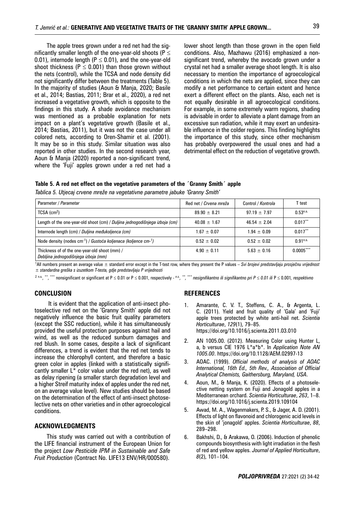The apple trees grown under a red net had the significantly smaller length of the one-year-old shoots ( $P \leq$ 0.01), internode length ( $P \le 0.01$ ), and the one-year-old shoot thickness ( $P \le 0.001$ ) than those grown without the nets (control), while the TCSA and node density did not significantly differ between the treatments (Table 5). In the majority of studies (Aoun & Manja, 2020; Basile et al., 2014; Bastias, 2011; Brar et al., 2020), a red net increased a vegetative growth, which is opposite to the findings in this study. A shade avoidance mechanism was mentioned as a probable explanation for nets impact on a plant's vegetative growth (Basile et al., 2014; Bastias, 2011), but it was not the case under all colored nets, according to Oren-Shamir et al. (2001). It may be so in this study. Similar situation was also reported in other studies. In the second research year, Aoun & Manja (2020) reported a non-significant trend, where the 'Fuji' apples grown under a red net had a

lower shoot length than those grown in the open field conditions. Also, Mazhawu (2016) emphasized a nonsignificant trend, whereby the avocado grown under a crystal net had a smaller average shoot length. It is also necessary to mention the importance of agroecological conditions in which the nets are applied, since they can modify a net performance to certain extent and hence exert a different effect on the plants. Also, each net is not equally desirable in all agroecological conditions. For example, in some extremely warm regions, shading is advisable in order to alleviate a plant damage from an excessive sun radiation, while it may exert an undesirable influence in the colder regions. This finding highlights the importance of this study, since other mechanism has probably overpowered the usual ones and had a detrimental effect on the reduction of vegetative growth.

#### **Table 5. A red net effect on the vegetative parameters of the ´Granny Smith´ apple**

*Tablica 5. Utjecaj crvene mreže na vegetativne parametre jabuke 'Granny Smith'*

| Parameter / Parametar                                                                   | Red net / Crvena mreža | Control / Kontrola | T test                 |
|-----------------------------------------------------------------------------------------|------------------------|--------------------|------------------------|
| $TCSA$ (cm <sup>2</sup> )                                                               | $89.90 \pm 8.21$       | $97.19 \pm 7.97$   | $0.53$ <sup>n.s.</sup> |
| Length of the one-year-old shoot (cm) / Duljina jednogodišnjega izboja (cm)             | $40.08 \pm 1.67$       | $46.54 \pm 2.04$   | $0.017***$             |
| Internode length (cm) / Duljina međukoljenca (cm)                                       | $1.67 \pm 0.07$        | $1.94 + 0.09$      | $0.017***$             |
| Node density (nodes cm <sup>-1</sup> ) / Gustoća koljenaca (koljence cm- <sup>1</sup> ) | $0.52 \pm 0.02$        | $0.52 \pm 0.02$    | 0.91 <sup>n.s.</sup>   |
| Thickness of of the one-year-old shoot (mm) /<br>Debljina jednogodišnjega izboja (mm)   | $4.90 \pm 0.11$        | $5.63 \pm 0.16$    | $0.0005***$            |

1 All numbers present an average value ± standard error except in the T-test row, where they present the P values – *Svi brojevi predstavljaju prosječnu vrijednost ± standardna greška s izuzetkom T-testa, gdje predstavljaju P vrijednosti*

<sup>2 n.s.</sup>, \*\*\* \*\*\* nonsignificant or significant at P ≤ 0.01 or P ≤ 0.001, respectively - <sup>n.s.,</sup> \*\*\* nesignifikantno ili signifikantno pri P ≤ 0.01 ili P ≤ 0.001, respektivno

#### **CONCLUSION**

 It is evident that the application of anti-insect photoselective red net on the 'Granny Smith' apple did not negatively influence the basic fruit quality parameters (except the SSC reduction), while it has simultaneously provided the useful protection purposes against hail and wind, as well as the reduced sunburn damages and red blush. In some cases, despite a lack of significant differences, a trend is evident that the red net tends to increase the chlorophyll content, and therefore a basic green color in apples (linked with a statistically significantly smaller  $L^*$  color value under the red net), as well as delay ripening (a smaller starch degradation level and a higher Streif maturity index of apples under the red net, on an average value level). New studies should be based on the determination of the effect of anti-insect photoselective nets on other varieties and in other agroecological conditions.

#### **ACKNOWLEDGMENTS**

This study was carried out with a contribution of the LIFE financial instrument of the European Union for the project *Low Pesticide IPM in Sustainable and Safe Fruit Production* (Contract No. LIFE13 ENV/HR/000580).

#### **REFERENCES**

- 1. Amarante, C. V. T., Steffens, C. A., & Argenta, L. C. (2011). Yield and fruit quality of 'Gala' and 'Fuji' apple trees protected by white anti-hail net. *Scientia Horticulturae*, *129*(1), 79–85. https://doi.org/10.1016/j.scienta.2011.03.010
- 2. AN 1005.00. (2012). Measuring Color using Hunter L, a, b versus CIE 1976 L\*a\*b\*. In *Application Note AN 1005.00*. https://doi.org/10.1128/AEM.02997-13
- 3. AOAC. (1999). *Official methods of analysis of AOAC International, 16th Ed., 5th Rev., Association of Official Analytical Chemists, Gaithersburg, Maryland, USA*.
- 4. Aoun, M., & Manja, K. (2020). Effects of a photoselective netting system on Fuji and Jonagold apples in a Mediterranean orchard. *Scientia Horticulturae*, *263*, 1–8. https://doi.org/10.1016/j.scienta.2019.109104
- 5. Awad, M. A., Wagenmakers, P. S., & Jager, A. D. (2001). Effects of light on flavonoid and chlorogenic acid levels in the skin of 'jonagold' apples. *Scientia Horticulturae*, *88*, 289–298.
- 6. Bakhshi, D., & Arakawa, O. (2006). Induction of phenolic compounds biosynthesis with light irradiation in the flesh of red and yellow apples. *Journal of Applied Horticulture*, *8*(2), 101–104.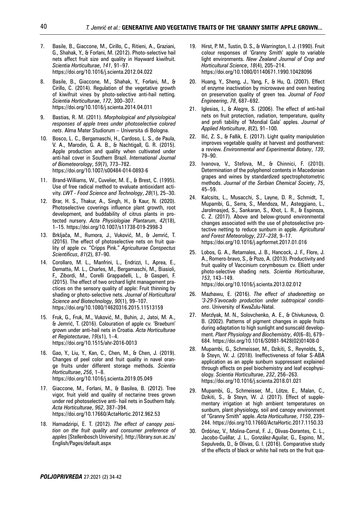- 7. Basile, B., Giaccone, M., Cirillo, C., Ritieni, A., Graziani, G., Shahak, Y., & Forlani, M. (2012). Photo-selective hail nets affect fruit size and quality in Hayward kiwifruit. *Scientia Horticulturae*, *141*, 91–97. https://doi.org/10.1016/j.scienta.2012.04.022
- 8. Basile, B., Giaccone, M., Shahak, Y., Forlani, M., & Cirillo, C. (2014). Regulation of the vegetative growth of kiwifruit vines by photo-selective anti-hail netting. *Scientia Horticulturae*, *172*, 300–307. https://doi.org/10.1016/j.scienta.2014.04.011
- 9. Bastias, R. M. (2011). *Morphological and physiological responses of apple trees under photoselective colored nets*. Alma Mater Studiorum – Università di Bologna.
- 10. Bosco, L. C., Bergamaschi, H., Cardoso, L. S., de Paula, V. A., Marodin, G. A. B., & Nachtigall, G. R. (2015). Apple production and quality when cultivated under anti-hail cover in Southern Brazil. *International Journal of Biometeorology*, *59*(7), 773–782. https://doi.org/10.1007/s00484-014-0893-6
- 11. Brand-Williams, W., Cuvelier, M. E., & Brest, C. (1995). Use of free radical method to evaluate antioxidant activity. *LWT - Food Science and Technology*, *28*(1), 25–30.
- 12. Brar, H. S., Thakur, A., Singh, H., & Kaur, N. (2020). Photoselective coverings influence plant growth, root development, and buddability of citrus plants in protected nursery. *Acta Physiologiae Plantarum*, *42*(18), 1–15. https://doi.org/10.1007/s11738-019-2998-3
- 13. Brkljača, M., Rumora, J., Vuković, M., & Jemrić, T. (2016). The effect of photoselective nets on fruit quality of apple cv. "Cripps Pink." *Agriculturae Conspectus Scientificus*, *81*(2), 87–90.
- 14. Corollaro, M. L., Manfrini, L., Endrizzi, I., Aprea, E., Demattè, M. L., Charles, M., Bergamaschi, M., Biasioli, F., Zibordi, M., Corelli Grappadelli, L., & Gasperi, F. (2015). The effect of two orchard light management practices on the sensory quality of apple: Fruit thinning by shading or photo-selective nets. *Journal of Horticultural Science and Biotechnology*, *90*(1), 99–107. https://doi.org/10.1080/14620316.2015.11513159
- 15. Fruk, G., Fruk, M., Vuković, M., Buhin, J., Jatoi, M. A., & Jemrić, T. (2016). Colouration of apple cv. 'Braeburn' grown under anti-hail nets in Croatia. *Acta Horticulturae et Regiotecturae*, *19*(s1), 1–4. https://doi.org/10.1515/ahr-2016-0013
- 16. Gao, Y., Liu, Y., Kan, C., Chen, M., & Chen, J. (2019). Changes of peel color and fruit quality in navel orange fruits under different storage methods. *Scientia Horticulturae*, *256*, 1–8. https://doi.org/10.1016/j.scienta.2019.05.049
- 17. Giaccone, M., Forlani, M., & Basilea, B. (2012). Tree vigor, fruit yield and quality of nectarine trees grown under red photoselective anti- hail nets in Southern Italy. *Acta Horticulturae*, *962*, 387–394. https://doi.org/10.17660/ActaHortic.2012.962.53
- 18. Hamadziripi, E. T. (2012). *The effect of canopy position on the fruit quality and consumer preference of apples* [Stellenbosch University]. http://library.sun.ac.za/ English/Pages/default.aspx
- 19. Hirst, P. M., Tustin, D. S., & Warrington, I. J. (1990). Fruit colour responses of 'Granny Smith' apple to variable light environments. *New Zealand Journal of Crop and Horticultural Science*, *18*(4), 205–214. https://doi.org/10.1080/01140671.1990.10428096
- 20. Huang, Y., Sheng, J., Yang, F., & Hu, Q. (2007). Effect of enzyme inactivation by microwave and oven heating on preservation quality of green tea. *Journal of Food Engineering*, *78*, 687–692.
- 21. Iglesias, I., & Alegre, S. (2006). The effect of anti-hail nets on fruit protection, radiation, temperature, quality and profi tability of 'Mondial Gala' apples. *Journal of Applied Horticulture*, *8*(2), 91–100.
- 22. Ilić, Z. S., & Fallik, E. (2017). Light quality manipulation improves vegetable quality at harvest and postharvest: a review. *Environmental and Experimental Botany*, *139*, 79–90.
- 23. Ivanova, V., Stefova, M., & Chinnici, F. (2010). Determination of the polyphenol contents in Macedonian grapes and wines by standardized spectrophotometric methods. *Journal of the Serbian Chemical Society*, *75*, 45–59.
- 24. Kalcsits, L., Musacchi, S., Layne, D. R., Schmidt, T., Mupambi, G., Serra, S., Mendoza, M., Asteggiano, L., Jarolmasjed, S., Sankaran, S., Khot, L. R., & Espinoza, C. Z. (2017). Above and below-ground environmental changes associated with the use of photoselective protective netting to reduce sunburn in apple. *Agricultural and Forest Meteorology*, *237*–*238*, 9–17. https://doi.org/10.1016/j.agrformet.2017.01.016
- 25. Lobos, G. A., Retamales, J. B., Hancock, J. F., Flore, J. A., Romero-bravo, S., & Pozo, A. (2013). Productivity and fruit quality of Vaccinium corymbosum cv. Elliott under photo-selective shading nets. *Scientia Horticulturae*, *153*, 143–149. https://doi.org/10.1016/j.scienta.2013.02.012
	-
- 26. Mazhawu, E. (2016). *The effect of shadenetting on '3-29-5'avocado production under subtropical conditions*. University of KwaZulu-Natal.
- 27. Merzlyak, M. N., Solovchenko, A. E., & Chivkunova, O. B. (2002). Patterns of pigment changes in apple fruits during adaptation to high sunlight and sunscald development. *Plant Physiology and Biochemistry*, *40*(6–8), 679– 684. https://doi.org/10.1016/S0981-9428(02)01408-0
- 28. Mupambi, G., Schmeisser, M., Dzikiti, S., Reynolds, S., & Steyn, W. J. (2018). Ineffectiveness of foliar S-ABA application as an apple sunburn suppressant explained through effects on peel biochemistry and leaf ecophysiology. *Scientia Horticulturae*, *232*, 256–263. https://doi.org/10.1016/j.scienta.2018.01.021
- 29. Mupambi, G., Schmeisser, M., Lötze, E., Malan, C., Dzikiti, S., & Steyn, W. J. (2017). Effect of supplementary irrigation at high ambient temperatures on sunburn, plant physiology, soil and canopy environment of "Granny Smith" apple. *Acta Horticulturae*, *1150*, 239– 244. https://doi.org/10.17660/ActaHortic.2017.1150.33
- 30. Ordóñez, V., Molina-Corral, F. J., Olivas-Dorantes, C. L., Jacobo-Cuéllar, J. L., González-Aguilar, G., Espino, M., Sepulveda, D., & Olivas, G. I. (2016). Comparative study of the effects of black or white hail nets on the fruit qua-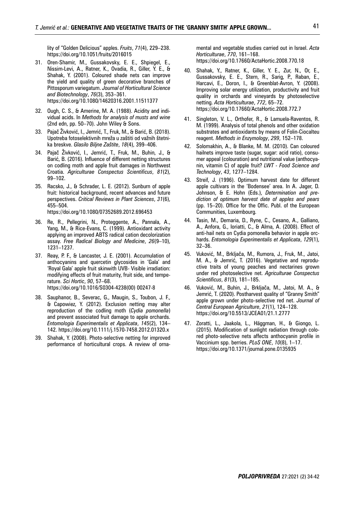lity of "Golden Delicious" apples. *Fruits*, *71*(4), 229–238. https://doi.org/10.1051/fruits/2016015

- 31. Oren-Shamir, M., Gussakovsky, E. E., Shpiegel, E., Nissim-Levi, A., Ratner, K., Ovadia, R., Giller, Y. E., & Shahak, Y. (2001). Coloured shade nets can improve the yield and quality of green decorative branches of Pittosporum variegatum. *Journal of Horticultural Science and Biotechnology*, *76*(3), 353–361. https://doi.org/10.1080/14620316.2001.11511377
- 32. Ough, C. S., & Amerine, M. A. (1988). Acidity and individual acids. In *Methods for analysis of musts and wine* (2nd edn, pp. 50–70). John Wiley & Sons.
- 33. Pajač Živković, I., Jemrić, T., Fruk, M., & Barić, B. (2018). Upotreba fotoselektivnih mreža u zaštiti od važnih štetnika breskve. *Glasilo Biljne Zaštite*, *18*(4), 399–406.
- 34. Pajač Živković, I., Jemrić, T., Fruk, M., Buhin, J., & Barić, B. (2016). Influence of different netting structures on codling moth and apple fruit damages in Northwest Croatia. *Agriculturae Conspectus Scientificus*, *81*(2), 99–102.
- 35. Racsko, J., & Schrader, L. E. (2012). Sunburn of apple fruit: historical background, recent advances and future perspectives. *Critical Reviews in Plant Sciences*, *31*(6), 455–504. https://doi.org/10.1080/07352689.2012.696453
- 36. Re, R., Pellegrini, N., Proteggente, A., Pannala, A.,
- Yang, M., & Rice-Evans, C. (1999). Antioxidant activity applying an improved ABTS radical cation decolorization assay. *Free Radical Biology and Medicine*, *26*(9–10), 1231–1237.
- 37. Reay, P. F., & Lancaster, J. E. (2001). Accumulation of anthocyanins and quercetin glycosides in 'Gala' and 'Royal Gala' apple fruit skinwith UVB- Visible irradiation: modifying effects of fruit maturity, fruit side, and temperature. *Sci Hortic*, *90*, 57–68. https://doi.org/10.1016/S0304-4238(00) 00247-8
- 38. Sauphanor, B., Severac, G., Maugin, S., Toubon, J. F., & Capowiez, Y. (2012). Exclusion netting may alter reproduction of the codling moth (*Cydia pomonella*) and prevent associated fruit damage to apple orchards. *Entomologia Experimentalis et Applicata*, *145*(2), 134– 142. https://doi.org/10.1111/j.1570-7458.2012.01320.x
- 39. Shahak, Y. (2008). Photo-selective netting for improved performance of horticultural crops. A review of orna-

mental and vegetable studies carried out in Israel. *Acta Horticulturae*, *770*, 161–168. https://doi.org/10.17660/ActaHortic.2008.770.18

- 40. Shahak, Y., Ratner, K., Giller, Y. E., Zur, N., Or, E., Gussakovsky, E. E., Stern, R., Sarig, P., Raban, E., Harcavi, E., Doron, I., & Greenblat-Avron, Y. (2008). Improving solar energy utilization, productivity and fruit quality in orchards and vineyards by photoselective netting. *Acta Horticulturae*, *772*, 65–72. https://doi.org/10.17660/ActaHortic.2008.772.7
- 41. Singleton, V. L., Orthofer, R., & Lamuela-Raventos, R. M. (1999). Analysis of total phenols and other oxidation substrates and antioxidants by means of Folin-Ciocalteu reagent. *Methods in Enzymology*, *299*, 152–178.
- 42. Solomakhin, A., & Blanke, M. M. (2010). Can coloured hailnets improve taste (sugar, sugar: acid ratio), consumer appeal (colouration) and nutritional value (anthocyanin, vitamin C) of apple fruit? *LWT - Food Science and Technology*, *43*, 1277–1284.
- 43. Streif, J. (1996). Optimum harvest date for different apple cultivars in the 'Bodensee' area. In A. Jager, D. Johnson, & E. Hohn (Eds.), *Determination and prediction of optimum harvest date of apples and pears* (pp. 15–20). Office for the Offic. Publ. of the European Communities, Luxembourg.
- 44. Tasin, M., Demaria, D., Ryne, C., Cesano, A., Galliano, A., Anfora, G., Ioriatti, C., & Alma, A. (2008). Effect of anti-hail nets on Cydia pomonella behavior in apple orchards. *Entomologia Experimentalis et Applicata*, *129*(1), 32–36.
- 45. Vuković, M., Brkljača, M., Rumora, J., Fruk, M., Jatoi, M. A., & Jemrić, T. (2016). Vegetative and reproductive traits of young peaches and nectarines grown under red photoselective net. *Agriculturae Conspectus Scientificus*, *81*(3), 181–185.
- 46. Vuković, M., Buhin, J., Brkljača, M., Jatoi, M. A., & Jemrić, T. (2020). Postharvest quality of "Granny Smith" apple grown under photo-selective red net. *Journal of Central European Agriculture*, *21*(1), 124–128. https://doi.org/10.5513/JCEA01/21.1.2777
- 47. Zoratti, L., Jaakola, L., Häggman, H., & Giongo, L. (2015). Modification of sunlight radiation through colored photo-selective nets affects anthocyanin profile in Vaccinium spp. berries. *PLoS ONE*, *10*(8), 1–17. https://doi.org/10.1371/journal.pone.0135935